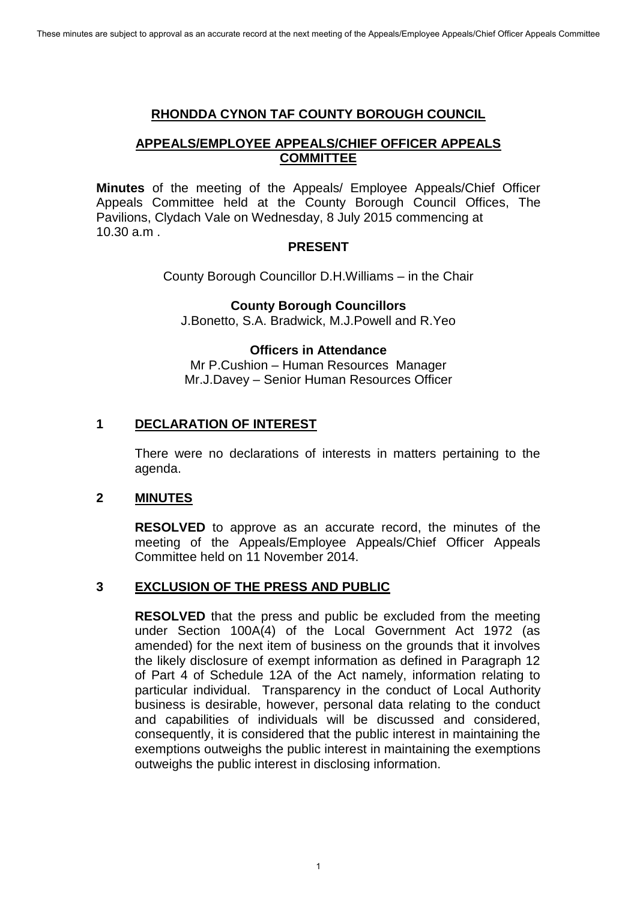#### **RHONDDA CYNON TAF COUNTY BOROUGH COUNCIL**

# **APPEALS/EMPLOYEE APPEALS/CHIEF OFFICER APPEALS COMMITTEE**

**Minutes** of the meeting of the Appeals/ Employee Appeals/Chief Officer Appeals Committee held at the County Borough Council Offices, The Pavilions, Clydach Vale on Wednesday, 8 July 2015 commencing at 10.30 a.m .

#### **PRESENT**

County Borough Councillor D.H.Williams – in the Chair

**County Borough Councillors** 

J.Bonetto, S.A. Bradwick, M.J.Powell and R.Yeo

# **Officers in Attendance**

Mr P.Cushion – Human Resources Manager Mr.J.Davey – Senior Human Resources Officer

# **1 DECLARATION OF INTEREST**

 There were no declarations of interests in matters pertaining to the agenda.

# **2 MINUTES**

**RESOLVED** to approve as an accurate record, the minutes of the meeting of the Appeals/Employee Appeals/Chief Officer Appeals Committee held on 11 November 2014.

# **3 EXCLUSION OF THE PRESS AND PUBLIC**

**RESOLVED** that the press and public be excluded from the meeting under Section 100A(4) of the Local Government Act 1972 (as amended) for the next item of business on the grounds that it involves the likely disclosure of exempt information as defined in Paragraph 12 of Part 4 of Schedule 12A of the Act namely, information relating to particular individual. Transparency in the conduct of Local Authority business is desirable, however, personal data relating to the conduct and capabilities of individuals will be discussed and considered, consequently, it is considered that the public interest in maintaining the exemptions outweighs the public interest in maintaining the exemptions outweighs the public interest in disclosing information.